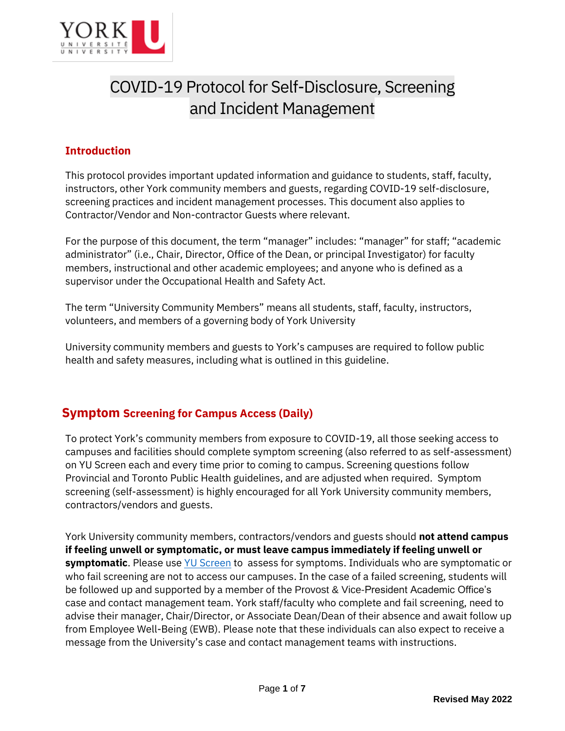

# COVID-19 Protocol for Self-Disclosure, Screening and Incident Management

# **Introduction**

This protocol provides important updated information and guidance to students, staff, faculty, instructors, other York community members and guests, regarding COVID-19 self-disclosure, screening practices and incident management processes. This document also applies to Contractor/Vendor and Non-contractor Guests where relevant.

For the purpose of this document, the term "manager" includes: "manager" for staff; "academic administrator" (i.e., Chair, Director, Office of the Dean, or principal Investigator) for faculty members, instructional and other academic employees; and anyone who is defined as a supervisor under the Occupational Health and Safety Act.

The term "University Community Members" means all students, staff, faculty, instructors, volunteers, and members of a governing body of York University

University community members and guests to York's campuses are required to follow public health and safety measures, including what is outlined in this guideline.

# **Symptom Screening for Campus Access (Daily)**

To protect York's community members from exposure to COVID-19, all those seeking access to campuses and facilities should complete symptom screening (also referred to as self-assessment) on YU Screen each and every time prior to coming to campus. Screening questions follow Provincial and Toronto Public Health guidelines, and are adjusted when required. Symptom screening (self-assessment) is highly encouraged for all York University community members, contractors/vendors and guests.

York University community members, contractors/vendors and guests should **not attend campus if feeling unwell or symptomatic, or must leave campus immediately if feeling unwell or symptomatic**. Please use [YU Screen](https://yorku.ubixhealth.com/) to assess for symptoms. Individuals who are symptomatic or who fail screening are not to access our campuses. In the case of a failed screening, students will be followed up and supported by a member of the Provost & Vice-President Academic Office's case and contact management team. York staff/faculty who complete and fail screening, need to advise their manager, Chair/Director, or Associate Dean/Dean of their absence and await follow up from Employee Well-Being (EWB). Please note that these individuals can also expect to receive a message from the University's case and contact management teams with instructions.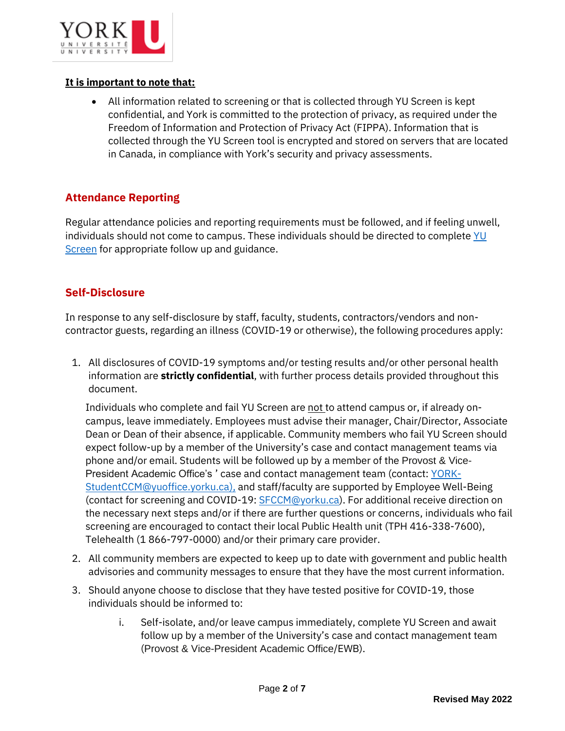

## **It is important to note that:**

• All information related to screening or that is collected through YU Screen is kept confidential, and York is committed to the protection of privacy, as required under the Freedom of Information and Protection of Privacy Act (FIPPA). Information that is collected through the YU Screen tool is encrypted and stored on servers that are located in Canada, in compliance with York's security and privacy assessments.

# **Attendance Reporting**

Regular attendance policies and reporting requirements must be followed, and if feeling unwell, individuals should not come to campus. These individuals should be directed to complete [YU](https://yorku.ubixhealth.com/)  [Screen](https://yorku.ubixhealth.com/) for appropriate follow up and guidance.

# **Self-Disclosure**

In response to any self-disclosure by staff, faculty, students, contractors/vendors and noncontractor guests, regarding an illness (COVID-19 or otherwise), the following procedures apply:

1. All disclosures of COVID-19 symptoms and/or testing results and/or other personal health information are **strictly confidential**, with further process details provided throughout this document.

Individuals who complete and fail YU Screen are not to attend campus or, if already oncampus, leave immediately. Employees must advise their manager, Chair/Director, Associate Dean or Dean of their absence, if applicable. Community members who fail YU Screen should expect follow-up by a member of the University's case and contact management teams via phone and/or email. Students will be followed up by a member of the Provost & Vice-President Academic Office's ' case and contact management team (contact: [YORK-](mailto:YORK-StudentCCM@yuoffice.yorku.ca)[StudentCCM@yuoffice.yorku.ca\)](mailto:YORK-StudentCCM@yuoffice.yorku.ca), and staff/faculty are supported by Employee Well-Being (contact for screening and COVID-19[: SFCCM@yorku.ca\)](mailto:EWB@yorku.ca). For additional receive direction on the necessary next steps and/or if there are further questions or concerns, individuals who fail screening are encouraged to contact their local Public Health unit (TPH 416-338-7600), Telehealth (1 866-797-0000) and/or their primary care provider.

- 2. All community members are expected to keep up to date with government and public health advisories and community messages to ensure that they have the most current information.
- 3. Should anyone choose to disclose that they have tested positive for COVID-19, those individuals should be informed to:
	- i. Self-isolate, and/or leave campus immediately, complete YU Screen and await follow up by a member of the University's case and contact management team (Provost & Vice-President Academic Office/EWB).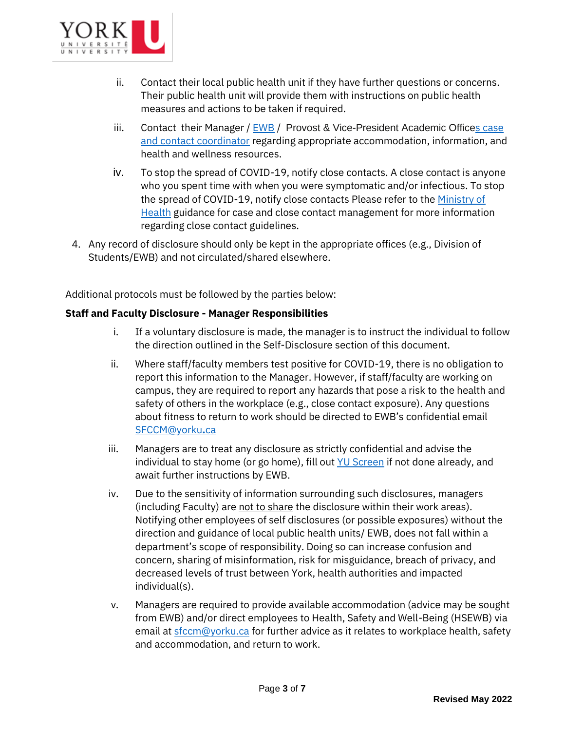

- ii. Contact their local public health unit if they have further questions or concerns. Their public health unit will provide them with instructions on public health measures and actions to be taken if required.
- iii. Contact their Manager / [EWB](mailto:ewb@yorku.ca) / [Provost & Vice-President Academic Office](mailto:YORK-StudentCCM@yuoffice.yorku.ca)s case [and contact coordinator](mailto:YORK-StudentCCM@yuoffice.yorku.ca) regarding appropriate accommodation, information, and health and wellness resources.
- iv. To stop the spread of COVID-19, notify close contacts. A close contact is anyone who you spent time with when you were symptomatic and/or infectious. To stop the spread of COVID-19, notify close contacts Please refer to the [Ministry of](https://www.health.gov.on.ca/en/pro/programs/publichealth/coronavirus/docs/contact_mngmt/management_cases_contacts.pdf)  [Health](https://www.health.gov.on.ca/en/pro/programs/publichealth/coronavirus/docs/contact_mngmt/management_cases_contacts.pdf) guidance for case and close contact management for more information regarding close contact guidelines.
- 4. Any record of disclosure should only be kept in the appropriate offices (e.g., Division of Students/EWB) and not circulated/shared elsewhere.

Additional protocols must be followed by the parties below:

## **Staff and Faculty Disclosure - Manager Responsibilities**

- i. If a voluntary disclosure is made, the manager is to instruct the individual to follow the direction outlined in the Self-Disclosure section of this document.
- ii. Where staff/faculty members test positive for COVID-19, there is no obligation to report this information to the Manager. However, if staff/faculty are working on campus, they are required to report any hazards that pose a risk to the health and safety of others in the workplace (e.g., close contact exposure). Any questions about fitness to return to work should be directed to EWB's confidential email [SFCCM@yorku](mailto:SFCCM@yorku.ca)**.**ca
- iii. Managers are to treat any disclosure as strictly confidential and advise the individual to stay home (or go home), fill out [YU Screen](https://yorku.ubixhealth.com/login) if not done already, and await further instructions by EWB.
- iv. Due to the sensitivity of information surrounding such disclosures, managers (including Faculty) are not to share the disclosure within their work areas). Notifying other employees of self disclosures (or possible exposures) without the direction and guidance of local public health units/ EWB, does not fall within a department's scope of responsibility. Doing so can increase confusion and concern, sharing of misinformation, risk for misguidance, breach of privacy, and decreased levels of trust between York, health authorities and impacted individual(s).
- v. Managers are required to provide available accommodation (advice may be sought from EWB) and/or direct employees to Health, Safety and Well-Being (HSEWB) via email a[t sfccm@yorku.ca](mailto:sfccm@yorku.ca) for further advice as it relates to workplace health, safety and accommodation, and return to work.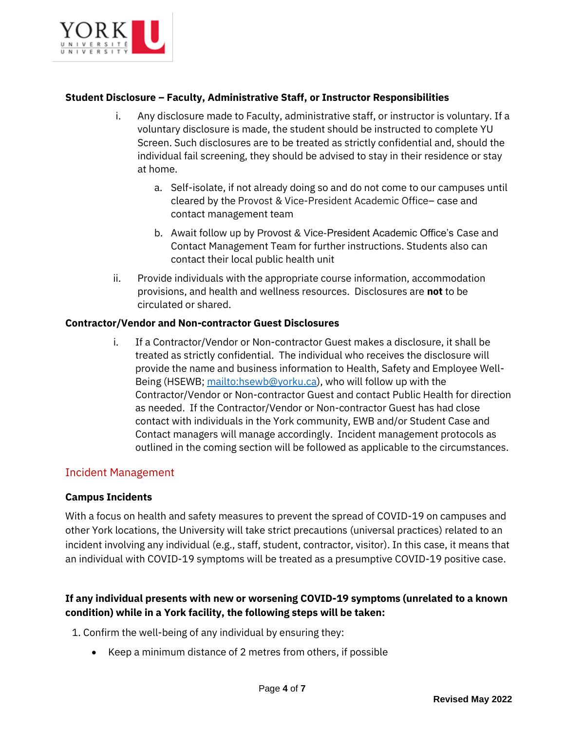

#### **Student Disclosure – Faculty, Administrative Staff, or Instructor Responsibilities**

- i. Any disclosure made to Faculty, administrative staff, or instructor is voluntary. If a voluntary disclosure is made, the student should be instructed to complete YU Screen. Such disclosures are to be treated as strictly confidential and, should the individual fail screening, they should be advised to stay in their residence or stay at home.
	- a. Self-isolate, if not already doing so and do not come to our campuses until cleared by the Provost & Vice-President Academic Office– case and contact management team
	- b. Await follow up by Provost & Vice-President Academic Office's Case and Contact Management Team for further instructions. Students also can contact their local public health unit
- ii. Provide individuals with the appropriate course information, accommodation provisions, and health and wellness resources. Disclosures are **not** to be circulated or shared.

#### **Contractor/Vendor and Non-contractor Guest Disclosures**

i. If a Contractor/Vendor or Non-contractor Guest makes a disclosure, it shall be treated as strictly confidential. The individual who receives the disclosure will provide the name and business information to Health, Safety and Employee Well-Being (HSEWB; [mailto:hsewb@yorku.ca\)](mailto:hsewb@yorku.ca), who will follow up with the Contractor/Vendor or Non-contractor Guest and contact Public Health for direction as needed. If the Contractor/Vendor or Non-contractor Guest has had close contact with individuals in the York community, EWB and/or Student Case and Contact managers will manage accordingly. Incident management protocols as outlined in the coming section will be followed as applicable to the circumstances.

## Incident Management

#### **Campus Incidents**

With a focus on health and safety measures to prevent the spread of COVID-19 on campuses and other York locations, the University will take strict precautions (universal practices) related to an incident involving any individual (e.g., staff, student, contractor, visitor). In this case, it means that an individual with COVID-19 symptoms will be treated as a presumptive COVID-19 positive case.

# **If any individual presents with new or worsening COVID-19 symptoms (unrelated to a known condition) while in a York facility, the following steps will be taken:**

1. Confirm the well-being of any individual by ensuring they:

• Keep a minimum distance of 2 metres from others, if possible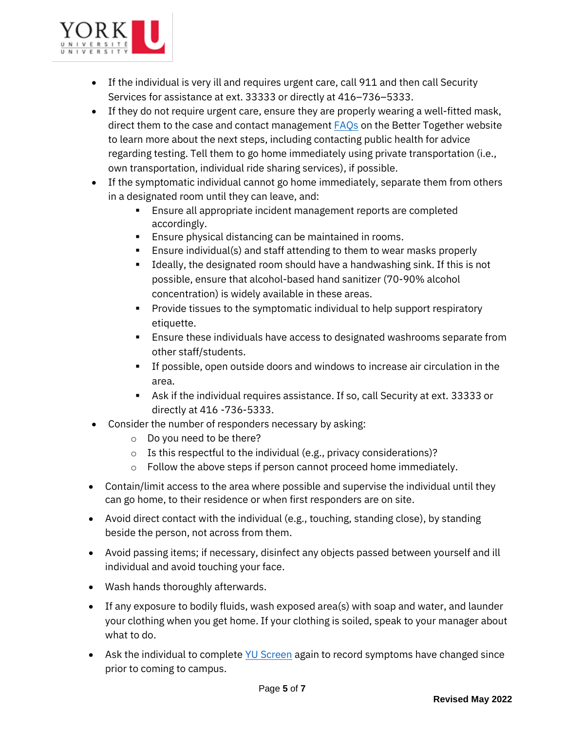

- If the individual is very ill and requires urgent care, call 911 and then call Security Services for assistance at ext. 33333 or directly at 416–736–5333.
- If they do not require urgent care, ensure they are properly wearing a well-fitted mask, direct them to the case and contact management **FAQs** on the Better Together website to learn more about the next steps, including contacting public health for advice regarding testing. Tell them to go home immediately using private transportation (i.e., own transportation, individual ride sharing services), if possible.
- If the symptomatic individual cannot go home immediately, separate them from others in a designated room until they can leave, and:
	- Ensure all appropriate incident management reports are completed accordingly.
	- Ensure physical distancing can be maintained in rooms.
	- Ensure individual(s) and staff attending to them to wear masks properly
	- **■** Ideally, the designated room should have a handwashing sink. If this is not possible, ensure that alcohol-based hand sanitizer (70-90% alcohol concentration) is widely available in these areas.
	- **•** Provide tissues to the symptomatic individual to help support respiratory etiquette.
	- **E** Ensure these individuals have access to designated washrooms separate from other staff/students.
	- If possible, open outside doors and windows to increase air circulation in the area.
	- Ask if the individual requires assistance. If so, call Security at ext. 33333 or directly at 416 -736-5333.
- Consider the number of responders necessary by asking:
	- o Do you need to be there?
	- o Is this respectful to the individual (e.g., privacy considerations)?
	- o Follow the above steps if person cannot proceed home immediately.
- Contain/limit access to the area where possible and supervise the individual until they can go home, to their residence or when first responders are on site.
- Avoid direct contact with the individual (e.g., touching, standing close), by standing beside the person, not across from them.
- Avoid passing items; if necessary, disinfect any objects passed between yourself and ill individual and avoid touching your face.
- Wash hands thoroughly afterwards.
- If any exposure to bodily fluids, wash exposed area(s) with soap and water, and launder your clothing when you get home. If your clothing is soiled, speak to your manager about what to do.
- Ask the individual to complet[e YU Screen](https://yorku.ubixhealth.com/) again to record symptoms have changed since prior to coming to campus.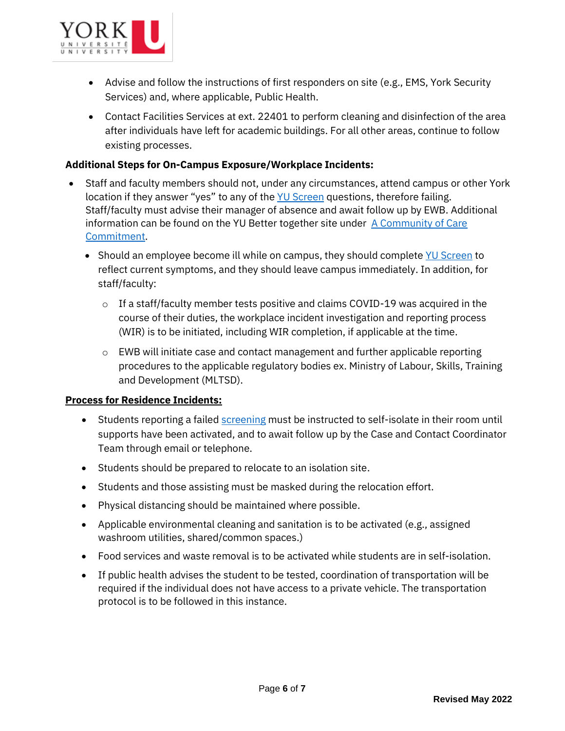

- Advise and follow the instructions of first responders on site (e.g., EMS, York Security Services) and, where applicable, Public Health.
- Contact Facilities Services at ext. 22401 to perform cleaning and disinfection of the area after individuals have left for academic buildings. For all other areas, continue to follow existing processes.

## **Additional Steps for On-Campus Exposure/Workplace Incidents:**

- Staff and faculty members should not, under any circumstances, attend campus or other York location if they answer "yes" to any of the [YU Screen](https://yorku.ubixhealth.com/) questions, therefore failing. Staff/faculty must advise their manager of absence and await follow up by EWB. Additional information can be found on the YU Better together site under  $A$  Community of Care [Commitment.](https://www.yorku.ca/bettertogether/creating-a-community-of-care/)
	- Should an employee become ill while on campus, they should complete [YU Screen](https://yorku.ubixhealth.com/login) to reflect current symptoms, and they should leave campus immediately. In addition, for staff/faculty:
		- $\circ$  If a staff/faculty member tests positive and claims COVID-19 was acquired in the course of their duties, the workplace incident investigation and reporting process (WIR) is to be initiated, including WIR completion, if applicable at the time.
		- $\circ$  EWB will initiate case and contact management and further applicable reporting procedures to the applicable regulatory bodies ex. Ministry of Labour, Skills, Training and Development (MLTSD).

#### **Process for Residence Incidents:**

- Students reporting a failed **[screening](https://forms.office.com/Pages/ResponsePage.aspx?id=GBNTNBFw1E-H8KQ4FsSb0Aii_h-sJShOmtngDnHIJ49UNEFPQUJHTzIySDE0N0I1S0s2NjE2MkRRUyQlQCN0PWcu&qrcode=true&fbclid=IwAR2vv3-v_BzNHWD48JQRDIeKg0O71pkpgxGFOod-I_SBIftwk-yNV2AMdTU) must be instructed to self-isolate** in their room until supports have been activated, and to await follow up by the Case and Contact Coordinator Team through email or telephone.
- Students should be prepared to relocate to an isolation site.
- Students and those assisting must be masked during the relocation effort.
- Physical distancing should be maintained where possible.
- Applicable environmental cleaning and sanitation is to be activated (e.g., assigned washroom utilities, shared/common spaces.)
- Food services and waste removal is to be activated while students are in self-isolation.
- If public health advises the student to be tested, coordination of transportation will be required if the individual does not have access to a private vehicle. The transportation protocol is to be followed in this instance.